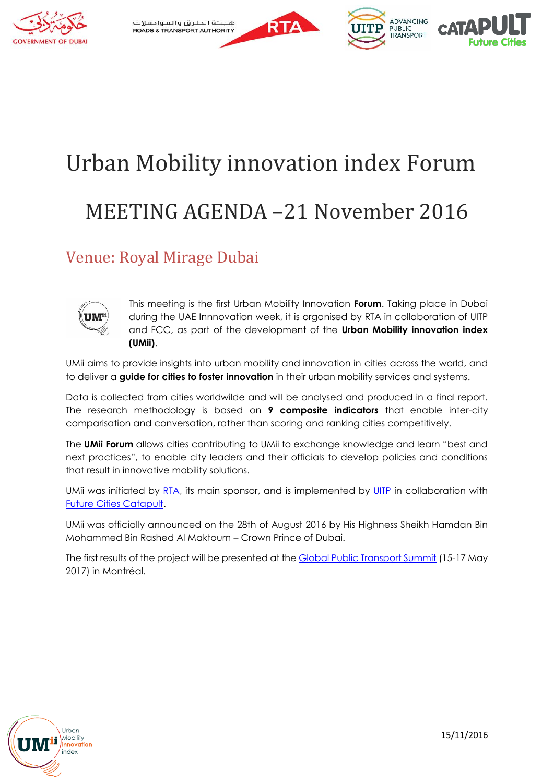



# Urban Mobility innovation index Forum MEETING AGENDA –21 November 2016

### Venue: Royal Mirage Dubai



This meeting is the first Urban Mobility Innovation **Forum**. Taking place in Dubai during the UAE Innnovation week, it is organised by RTA in collaboration of UITP and FCC, as part of the development of the **Urban Mobility innovation index (UMii)**.

UMii aims to provide insights into urban mobility and innovation in cities across the world, and to deliver a **guide for cities to foster innovation** in their urban mobility services and systems.

Data is collected from cities worldwilde and will be analysed and produced in a final report. The research methodology is based on **9 composite indicators** that enable inter-city comparisation and conversation, rather than scoring and ranking cities competitively.

The **UMii Forum** allows cities contributing to UMii to exchange knowledge and learn "best and next practices", to enable city leaders and their officials to develop policies and conditions that result in innovative mobility solutions.

UMii was initiated by [RTA,](https://www.rta.ae/wpsv5/wps/portal/rta/ae/home) its main sponsor, and is implemented by [UITP](http://www.uitp.org/) in collaboration with [Future Cities Catapult.](https://futurecities.catapult.org.uk/)

UMii was officially announced on the 28th of August 2016 by His Highness Sheikh Hamdan Bin Mohammed Bin Rashed Al Maktoum – Crown Prince of Dubai.

The first results of the project will be presented at the [Global Public Transport Summit](https://uitpsummit.org/) (15-17 May 2017) in Montréal.

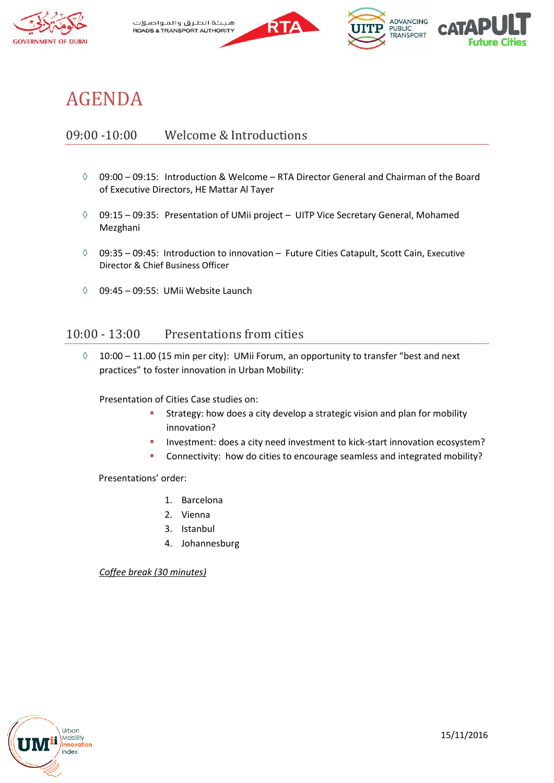

هيثة الطرق والمواصلات **ROADS & TRANSPORT AUTHORITY** 





## AGENDA

#### 09:00 -10:00 Welcome & Introductions

- $09:00 09:15$ : Introduction & Welcome RTA Director General and Chairman of the Board of Executive Directors, HE Mattar Al Tayer
- $\lozenge$  09:15 09:35: Presentation of UMii project UITP Vice Secretary General, Mohamed Mezghani
- $\lozenge$  09:35 09:45: Introduction to innovation Future Cities Catapult, Scott Cain, Executive Director & Chief Business Officer
- $\lozenge$  09:45 09:55: UMii Website Launch

#### 10:00 - 13:00 Presentations from cities

 $\lozenge$  10:00 – 11.00 (15 min per city): UMii Forum, an opportunity to transfer "best and next practices" to foster innovation in Urban Mobility:

Presentation of Cities Case studies on:

- **Strategy:** how does a city develop a strategic vision and plan for mobility innovation?
- Investment: does a city need investment to kick-start innovation ecosystem?
- **Connectivity:** how do cities to encourage seamless and integrated mobility?

Presentations' order:

- 1. Barcelona
- 2. Vienna
- 3. Istanbul
- 4. Johannesburg

*Coffee break (30 minutes)*

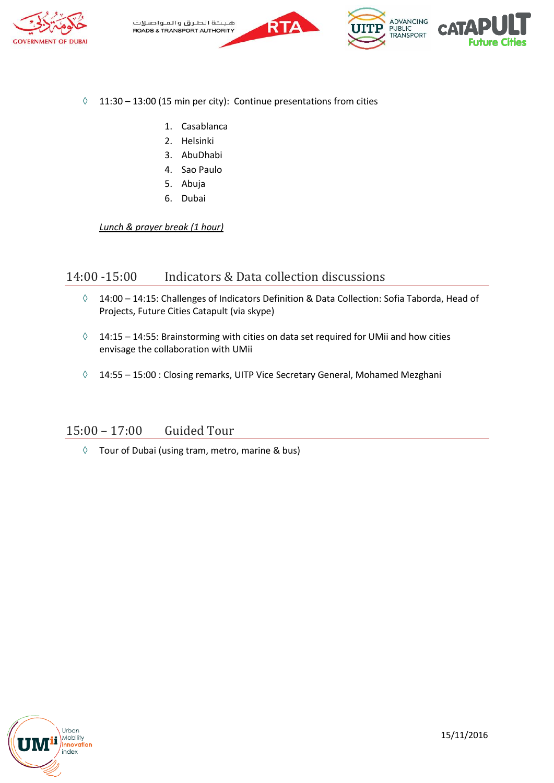



- $\Diamond$  11:30 13:00 (15 min per city): Continue presentations from cities
	- 1. Casablanca
	- 2. Helsinki
	- 3. AbuDhabi
	- 4. Sao Paulo
	- 5. Abuja
	- 6. Dubai

*Lunch & prayer break (1 hour)*

#### 14:00 -15:00 Indicators & Data collection discussions

- 14:00 14:15: Challenges of Indicators Definition & Data Collection: Sofia Taborda, Head of Projects, Future Cities Catapult (via skype)
- $\Diamond$  14:15 14:55: Brainstorming with cities on data set required for UMii and how cities envisage the collaboration with UMii
- $\lozenge$  14:55 15:00 : Closing remarks, UITP Vice Secretary General, Mohamed Mezghani

#### 15:00 – 17:00 Guided Tour

 $\Diamond$  Tour of Dubai (using tram, metro, marine & bus)

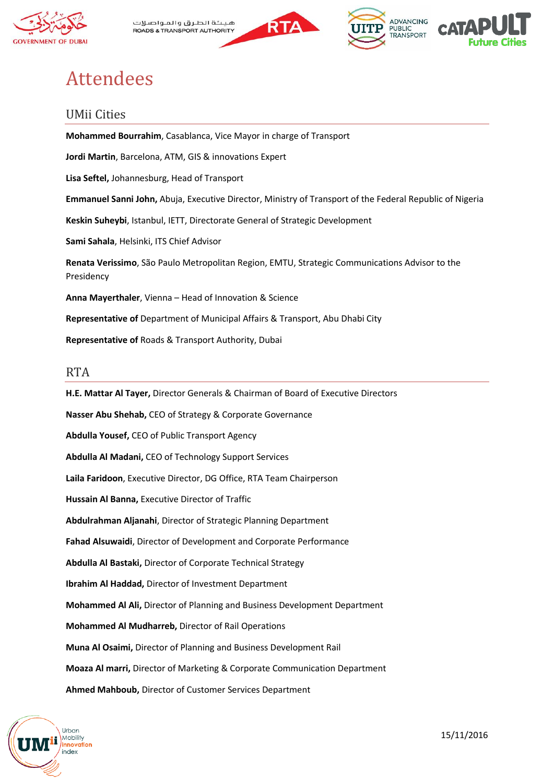

هيثة الطرق والمواصلات **ROADS & TRANSPORT AUTHORITY** 



**ADVANCING** 

PUBLIC<br>TRANSPORT



## Attendees

#### UMii Cities

**Mohammed Bourrahim**, Casablanca, Vice Mayor in charge of Transport **Jordi Martin**, Barcelona, ATM, GIS & innovations Expert **Lisa Seftel,** Johannesburg, Head of Transport **Emmanuel Sanni John,** Abuja, Executive Director, Ministry of Transport of the Federal Republic of Nigeria **Keskin Suheybi**, Istanbul, IETT, Directorate General of Strategic Development **Sami Sahala**, Helsinki, ITS Chief Advisor **Renata Verissimo**, São Paulo Metropolitan Region, EMTU, Strategic Communications Advisor to the Presidency **Anna Mayerthaler**, Vienna – Head of Innovation & Science **Representative of** Department of Municipal Affairs & Transport, Abu Dhabi City **Representative of** Roads & Transport Authority, Dubai

#### RTA

**H.E. Mattar Al Tayer,** Director Generals & Chairman of Board of Executive Directors **Nasser Abu Shehab,** CEO of Strategy & Corporate Governance **Abdulla Yousef,** CEO of Public Transport Agency **Abdulla Al Madani,** CEO of Technology Support Services **Laila Faridoon**, Executive Director, DG Office, RTA Team Chairperson **Hussain Al Banna,** Executive Director of Traffic **Abdulrahman Aljanahi**, Director of Strategic Planning Department **Fahad Alsuwaidi**, Director of Development and Corporate Performance **Abdulla Al Bastaki,** Director of Corporate Technical Strategy **Ibrahim Al Haddad,** Director of Investment Department **Mohammed Al Ali,** Director of Planning and Business Development Department **Mohammed Al Mudharreb,** Director of Rail Operations **Muna Al Osaimi,** Director of Planning and Business Development Rail **Moaza Al marri,** Director of Marketing & Corporate Communication Department **Ahmed Mahboub,** Director of Customer Services Department